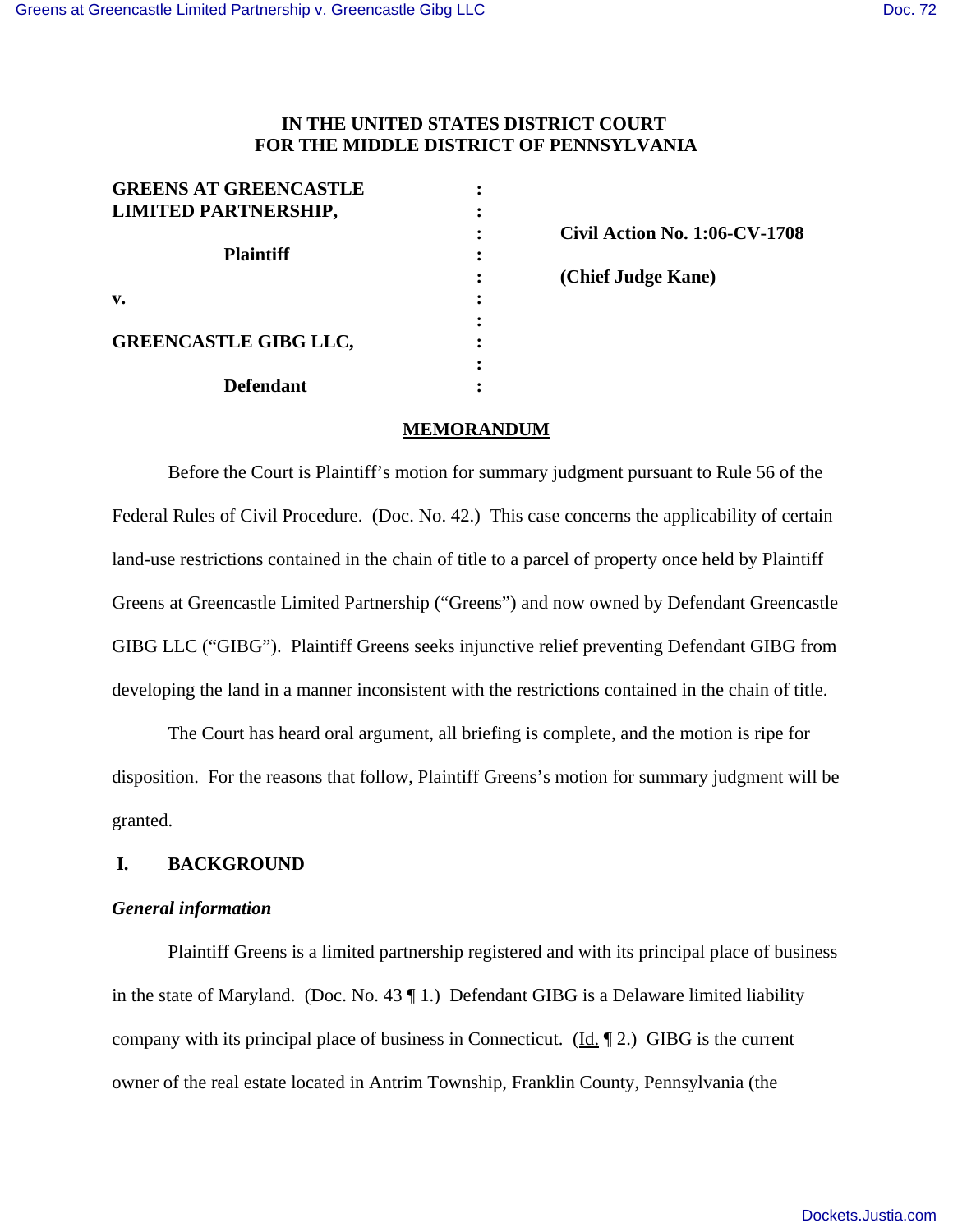# **IN THE UNITED STATES DISTRICT COURT FOR THE MIDDLE DISTRICT OF PENNSYLVANIA**

| <b>GREENS AT GREENCASTLE</b> |  |
|------------------------------|--|
| <b>LIMITED PARTNERSHIP,</b>  |  |
|                              |  |
| <b>Plaintiff</b>             |  |
|                              |  |
| v.                           |  |
|                              |  |
| <b>GREENCASTLE GIBG LLC,</b> |  |
|                              |  |
| <b>Defendant</b>             |  |

**: Civil Action No. 1:06-CV-1708 : (Chief Judge Kane)**

## **MEMORANDUM**

Before the Court is Plaintiff's motion for summary judgment pursuant to Rule 56 of the Federal Rules of Civil Procedure. (Doc. No. 42.) This case concerns the applicability of certain land-use restrictions contained in the chain of title to a parcel of property once held by Plaintiff Greens at Greencastle Limited Partnership ("Greens") and now owned by Defendant Greencastle GIBG LLC ("GIBG"). Plaintiff Greens seeks injunctive relief preventing Defendant GIBG from developing the land in a manner inconsistent with the restrictions contained in the chain of title.

The Court has heard oral argument, all briefing is complete, and the motion is ripe for disposition. For the reasons that follow, Plaintiff Greens's motion for summary judgment will be granted.

# **I. BACKGROUND**

## *General information*

Plaintiff Greens is a limited partnership registered and with its principal place of business in the state of Maryland. (Doc. No. 43 ¶ 1.) Defendant GIBG is a Delaware limited liability company with its principal place of business in Connecticut. (Id. ¶ 2.) GIBG is the current owner of the real estate located in Antrim Township, Franklin County, Pennsylvania (the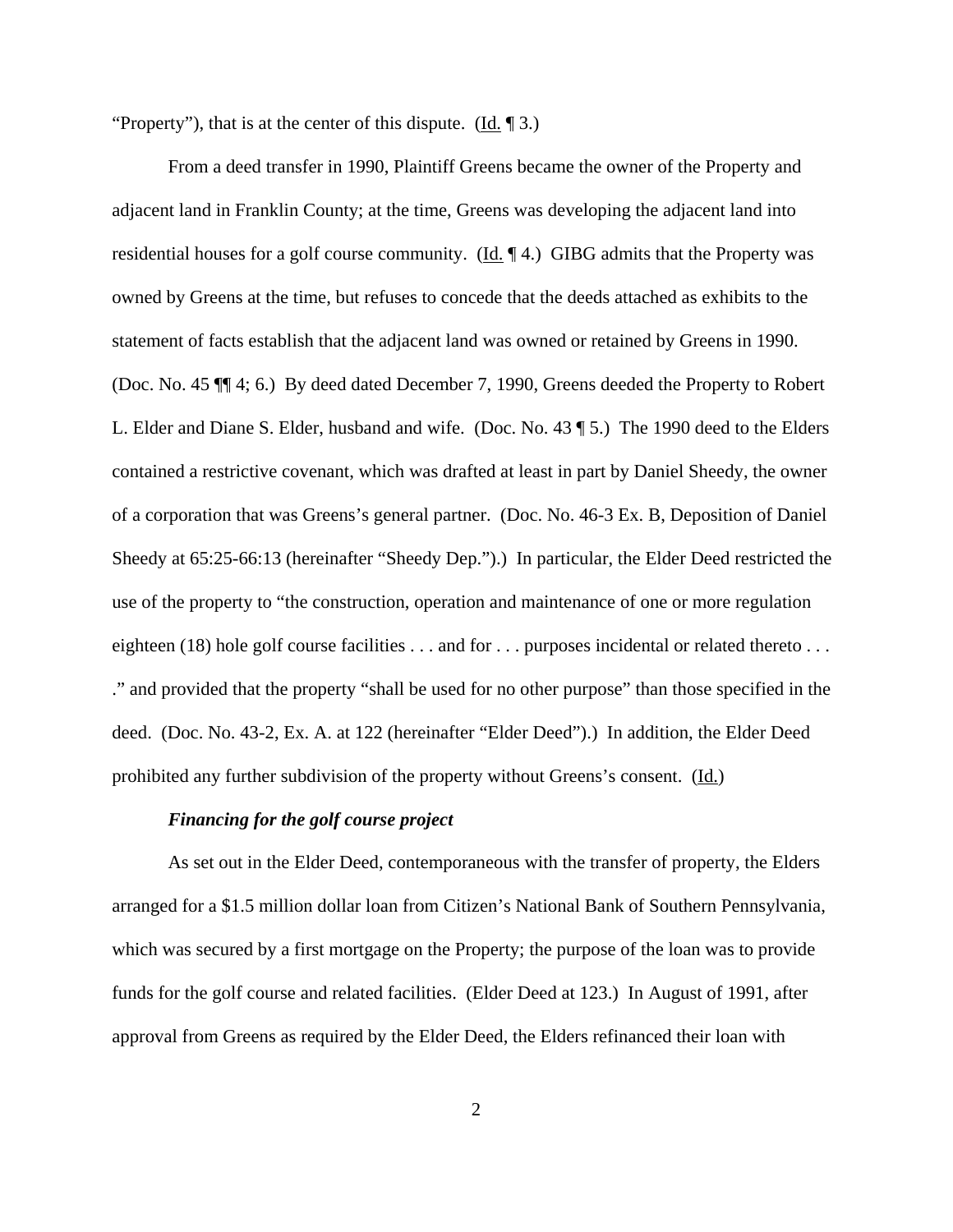"Property"), that is at the center of this dispute.  $(Id, \P 3)$ 

From a deed transfer in 1990, Plaintiff Greens became the owner of the Property and adjacent land in Franklin County; at the time, Greens was developing the adjacent land into residential houses for a golf course community. ( $\underline{Id}$ ,  $\P$ 4.) GIBG admits that the Property was owned by Greens at the time, but refuses to concede that the deeds attached as exhibits to the statement of facts establish that the adjacent land was owned or retained by Greens in 1990. (Doc. No. 45 ¶¶ 4; 6.) By deed dated December 7, 1990, Greens deeded the Property to Robert L. Elder and Diane S. Elder, husband and wife. (Doc. No. 43 ¶ 5.) The 1990 deed to the Elders contained a restrictive covenant, which was drafted at least in part by Daniel Sheedy, the owner of a corporation that was Greens's general partner. (Doc. No. 46-3 Ex. B, Deposition of Daniel Sheedy at 65:25-66:13 (hereinafter "Sheedy Dep.").) In particular, the Elder Deed restricted the use of the property to "the construction, operation and maintenance of one or more regulation eighteen (18) hole golf course facilities . . . and for . . . purposes incidental or related thereto . . . ." and provided that the property "shall be used for no other purpose" than those specified in the deed. (Doc. No. 43-2, Ex. A. at 122 (hereinafter "Elder Deed").) In addition, the Elder Deed prohibited any further subdivision of the property without Greens's consent. (Id.)

## *Financing for the golf course project*

As set out in the Elder Deed, contemporaneous with the transfer of property, the Elders arranged for a \$1.5 million dollar loan from Citizen's National Bank of Southern Pennsylvania, which was secured by a first mortgage on the Property; the purpose of the loan was to provide funds for the golf course and related facilities. (Elder Deed at 123.) In August of 1991, after approval from Greens as required by the Elder Deed, the Elders refinanced their loan with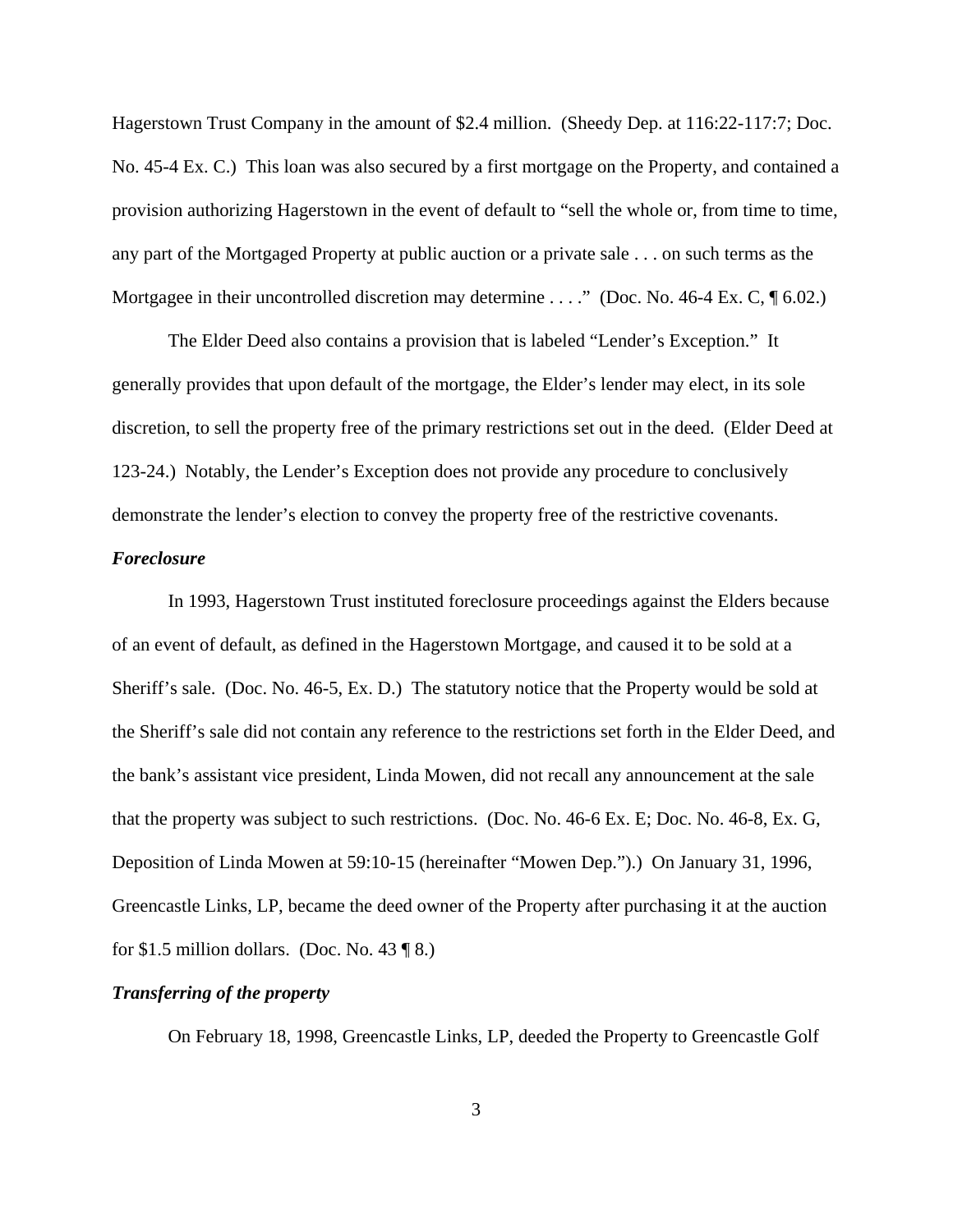Hagerstown Trust Company in the amount of \$2.4 million. (Sheedy Dep. at 116:22-117:7; Doc. No. 45-4 Ex. C.) This loan was also secured by a first mortgage on the Property, and contained a provision authorizing Hagerstown in the event of default to "sell the whole or, from time to time, any part of the Mortgaged Property at public auction or a private sale . . . on such terms as the Mortgagee in their uncontrolled discretion may determine . . . ." (Doc. No. 46-4 Ex. C, ¶ 6.02.)

The Elder Deed also contains a provision that is labeled "Lender's Exception." It generally provides that upon default of the mortgage, the Elder's lender may elect, in its sole discretion, to sell the property free of the primary restrictions set out in the deed. (Elder Deed at 123-24.) Notably, the Lender's Exception does not provide any procedure to conclusively demonstrate the lender's election to convey the property free of the restrictive covenants.

### *Foreclosure*

In 1993, Hagerstown Trust instituted foreclosure proceedings against the Elders because of an event of default, as defined in the Hagerstown Mortgage, and caused it to be sold at a Sheriff's sale. (Doc. No. 46-5, Ex. D.) The statutory notice that the Property would be sold at the Sheriff's sale did not contain any reference to the restrictions set forth in the Elder Deed, and the bank's assistant vice president, Linda Mowen, did not recall any announcement at the sale that the property was subject to such restrictions. (Doc. No. 46-6 Ex. E; Doc. No. 46-8, Ex. G, Deposition of Linda Mowen at 59:10-15 (hereinafter "Mowen Dep.").) On January 31, 1996, Greencastle Links, LP, became the deed owner of the Property after purchasing it at the auction for \$1.5 million dollars. (Doc. No. 43  $\P$  8.)

# *Transferring of the property*

On February 18, 1998, Greencastle Links, LP, deeded the Property to Greencastle Golf

3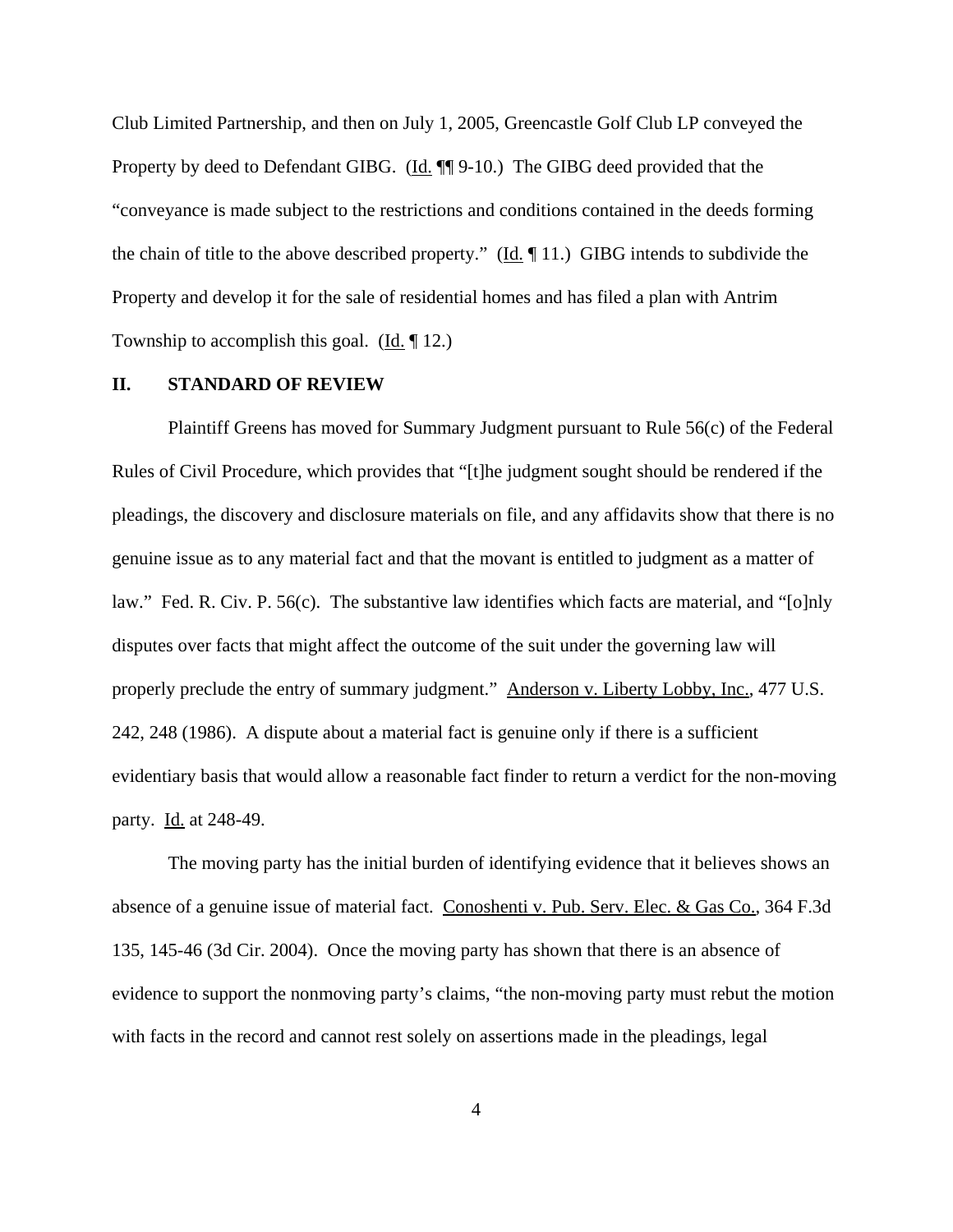Club Limited Partnership, and then on July 1, 2005, Greencastle Golf Club LP conveyed the Property by deed to Defendant GIBG. (Id.  $\P$ ] 9-10.) The GIBG deed provided that the "conveyance is made subject to the restrictions and conditions contained in the deeds forming the chain of title to the above described property." ( $\underline{Id}$ ,  $\P$ 11.) GIBG intends to subdivide the Property and develop it for the sale of residential homes and has filed a plan with Antrim Township to accomplish this goal. (Id. ¶ 12.)

# **II. STANDARD OF REVIEW**

Plaintiff Greens has moved for Summary Judgment pursuant to Rule 56(c) of the Federal Rules of Civil Procedure, which provides that "[t]he judgment sought should be rendered if the pleadings, the discovery and disclosure materials on file, and any affidavits show that there is no genuine issue as to any material fact and that the movant is entitled to judgment as a matter of law." Fed. R. Civ. P. 56(c). The substantive law identifies which facts are material, and "[o]nly disputes over facts that might affect the outcome of the suit under the governing law will properly preclude the entry of summary judgment." Anderson v. Liberty Lobby, Inc., 477 U.S. 242, 248 (1986). A dispute about a material fact is genuine only if there is a sufficient evidentiary basis that would allow a reasonable fact finder to return a verdict for the non-moving party. Id. at 248-49.

The moving party has the initial burden of identifying evidence that it believes shows an absence of a genuine issue of material fact. Conoshenti v. Pub. Serv. Elec. & Gas Co., 364 F.3d 135, 145-46 (3d Cir. 2004). Once the moving party has shown that there is an absence of evidence to support the nonmoving party's claims, "the non-moving party must rebut the motion with facts in the record and cannot rest solely on assertions made in the pleadings, legal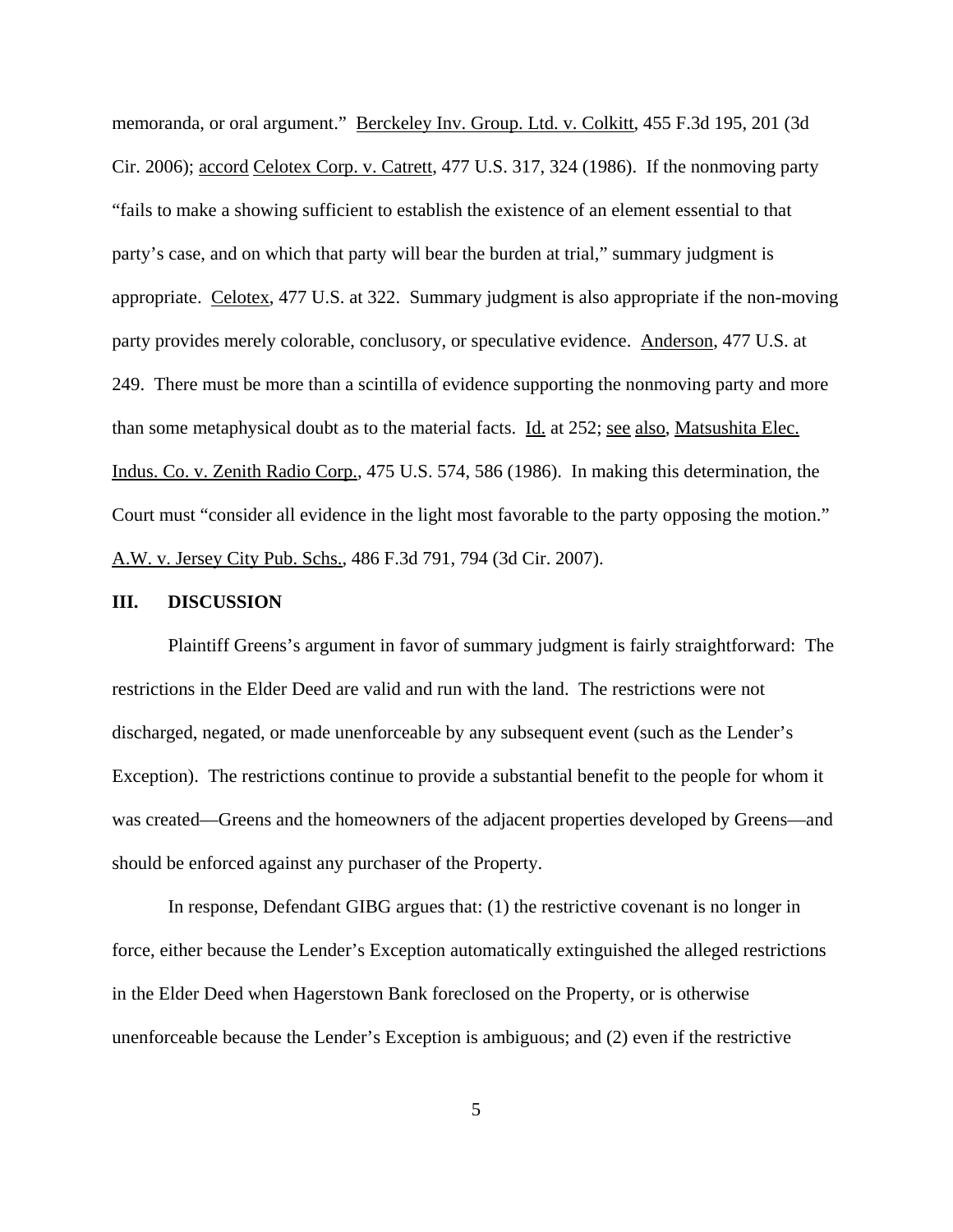memoranda, or oral argument." Berckeley Inv. Group. Ltd. v. Colkitt, 455 F.3d 195, 201 (3d Cir. 2006); accord Celotex Corp. v. Catrett, 477 U.S. 317, 324 (1986). If the nonmoving party "fails to make a showing sufficient to establish the existence of an element essential to that party's case, and on which that party will bear the burden at trial," summary judgment is appropriate. Celotex, 477 U.S. at 322. Summary judgment is also appropriate if the non-moving party provides merely colorable, conclusory, or speculative evidence. Anderson, 477 U.S. at 249. There must be more than a scintilla of evidence supporting the nonmoving party and more than some metaphysical doubt as to the material facts. Id. at 252; see also, Matsushita Elec. Indus. Co. v. Zenith Radio Corp., 475 U.S. 574, 586 (1986). In making this determination, the Court must "consider all evidence in the light most favorable to the party opposing the motion." A.W. v. Jersey City Pub. Schs., 486 F.3d 791, 794 (3d Cir. 2007).

### **III. DISCUSSION**

Plaintiff Greens's argument in favor of summary judgment is fairly straightforward: The restrictions in the Elder Deed are valid and run with the land. The restrictions were not discharged, negated, or made unenforceable by any subsequent event (such as the Lender's Exception). The restrictions continue to provide a substantial benefit to the people for whom it was created—Greens and the homeowners of the adjacent properties developed by Greens—and should be enforced against any purchaser of the Property.

In response, Defendant GIBG argues that: (1) the restrictive covenant is no longer in force, either because the Lender's Exception automatically extinguished the alleged restrictions in the Elder Deed when Hagerstown Bank foreclosed on the Property, or is otherwise unenforceable because the Lender's Exception is ambiguous; and (2) even if the restrictive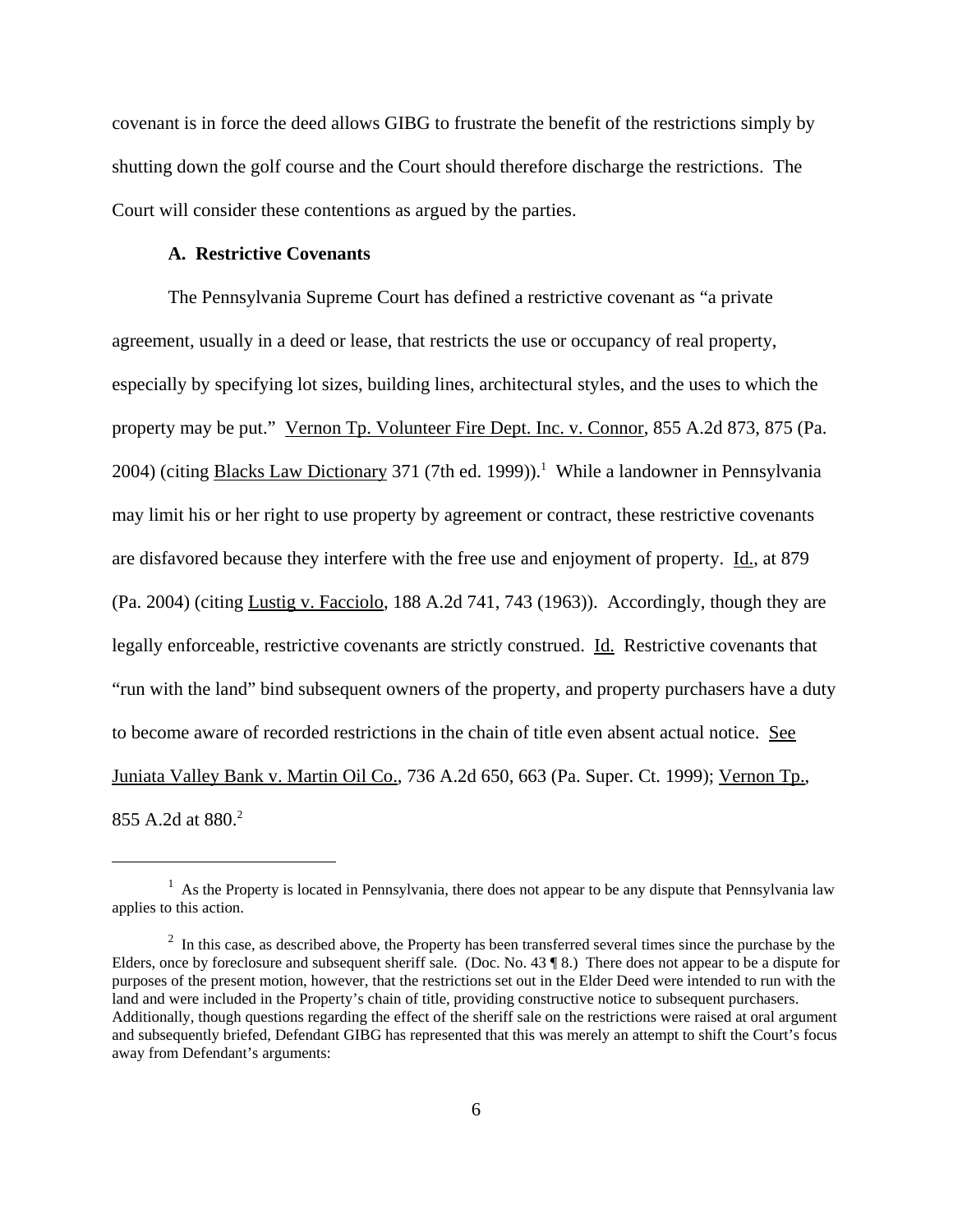covenant is in force the deed allows GIBG to frustrate the benefit of the restrictions simply by shutting down the golf course and the Court should therefore discharge the restrictions. The Court will consider these contentions as argued by the parties.

#### **A. Restrictive Covenants**

The Pennsylvania Supreme Court has defined a restrictive covenant as "a private agreement, usually in a deed or lease, that restricts the use or occupancy of real property, especially by specifying lot sizes, building lines, architectural styles, and the uses to which the property may be put." Vernon Tp. Volunteer Fire Dept. Inc. v. Connor, 855 A.2d 873, 875 (Pa. 2004) (citing **Blacks Law Dictionary** 371 (7th ed. 1999)).<sup>1</sup> While a landowner in Pennsylvania may limit his or her right to use property by agreement or contract, these restrictive covenants are disfavored because they interfere with the free use and enjoyment of property. Id., at 879 (Pa. 2004) (citing Lustig v. Facciolo, 188 A.2d 741, 743 (1963)). Accordingly, though they are legally enforceable, restrictive covenants are strictly construed. Id. Restrictive covenants that "run with the land" bind subsequent owners of the property, and property purchasers have a duty to become aware of recorded restrictions in the chain of title even absent actual notice. See Juniata Valley Bank v. Martin Oil Co., 736 A.2d 650, 663 (Pa. Super. Ct. 1999); Vernon Tp., 855 A.2d at 880.2

 $<sup>1</sup>$  As the Property is located in Pennsylvania, there does not appear to be any dispute that Pennsylvania law</sup> applies to this action.

 $2\;$  In this case, as described above, the Property has been transferred several times since the purchase by the Elders, once by foreclosure and subsequent sheriff sale. (Doc. No. 43 ¶ 8.) There does not appear to be a dispute for purposes of the present motion, however, that the restrictions set out in the Elder Deed were intended to run with the land and were included in the Property's chain of title, providing constructive notice to subsequent purchasers. Additionally, though questions regarding the effect of the sheriff sale on the restrictions were raised at oral argument and subsequently briefed, Defendant GIBG has represented that this was merely an attempt to shift the Court's focus away from Defendant's arguments: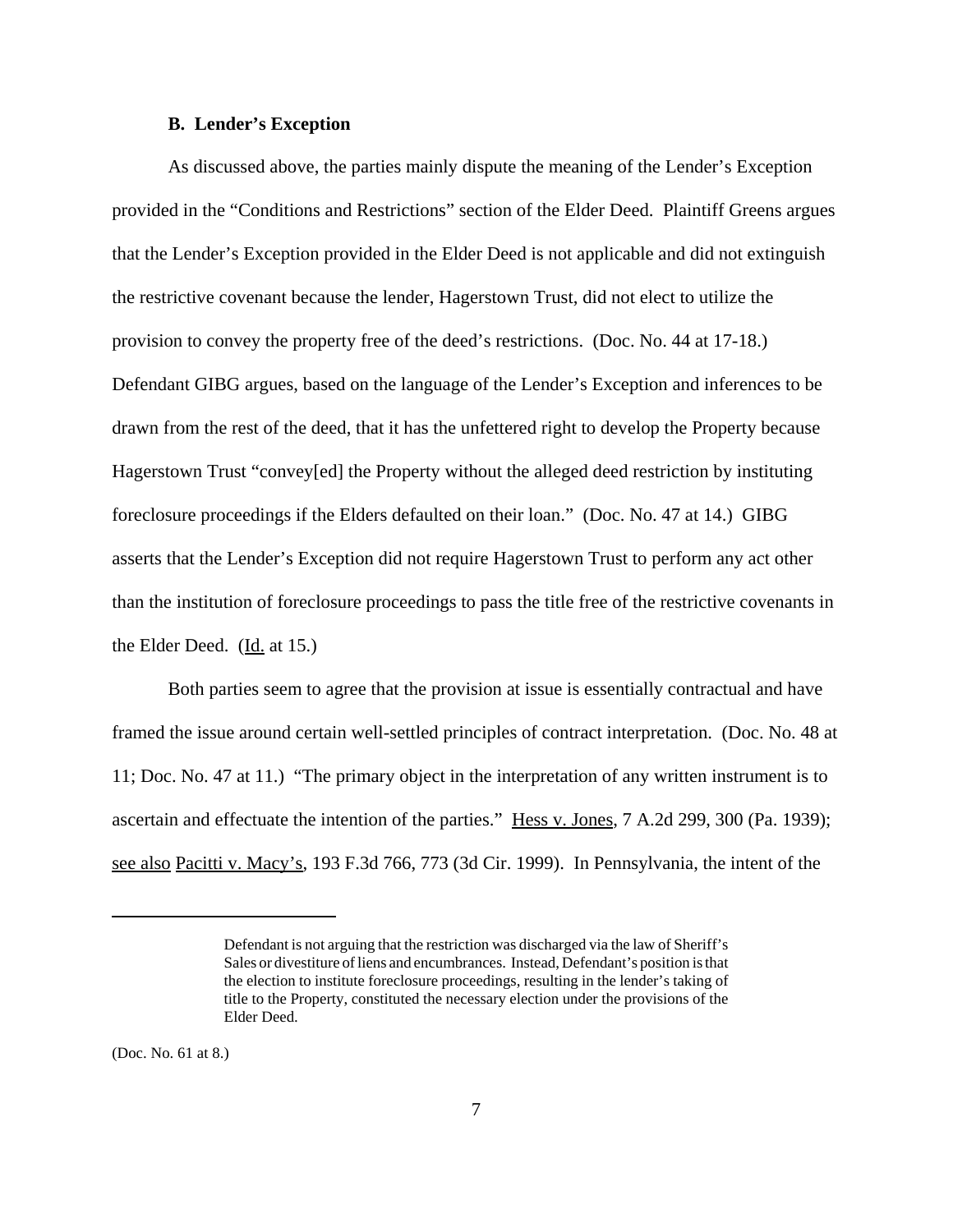#### **B. Lender's Exception**

As discussed above, the parties mainly dispute the meaning of the Lender's Exception provided in the "Conditions and Restrictions" section of the Elder Deed. Plaintiff Greens argues that the Lender's Exception provided in the Elder Deed is not applicable and did not extinguish the restrictive covenant because the lender, Hagerstown Trust, did not elect to utilize the provision to convey the property free of the deed's restrictions. (Doc. No. 44 at 17-18.) Defendant GIBG argues, based on the language of the Lender's Exception and inferences to be drawn from the rest of the deed, that it has the unfettered right to develop the Property because Hagerstown Trust "convey[ed] the Property without the alleged deed restriction by instituting foreclosure proceedings if the Elders defaulted on their loan." (Doc. No. 47 at 14.) GIBG asserts that the Lender's Exception did not require Hagerstown Trust to perform any act other than the institution of foreclosure proceedings to pass the title free of the restrictive covenants in the Elder Deed. (Id. at 15.)

Both parties seem to agree that the provision at issue is essentially contractual and have framed the issue around certain well-settled principles of contract interpretation. (Doc. No. 48 at 11; Doc. No. 47 at 11.) "The primary object in the interpretation of any written instrument is to ascertain and effectuate the intention of the parties." Hess v. Jones, 7 A.2d 299, 300 (Pa. 1939); see also Pacitti v. Macy's, 193 F.3d 766, 773 (3d Cir. 1999). In Pennsylvania, the intent of the

(Doc. No. 61 at 8.)

Defendant is not arguing that the restriction was discharged via the law of Sheriff's Sales or divestiture of liens and encumbrances. Instead, Defendant's position is that the election to institute foreclosure proceedings, resulting in the lender's taking of title to the Property, constituted the necessary election under the provisions of the Elder Deed.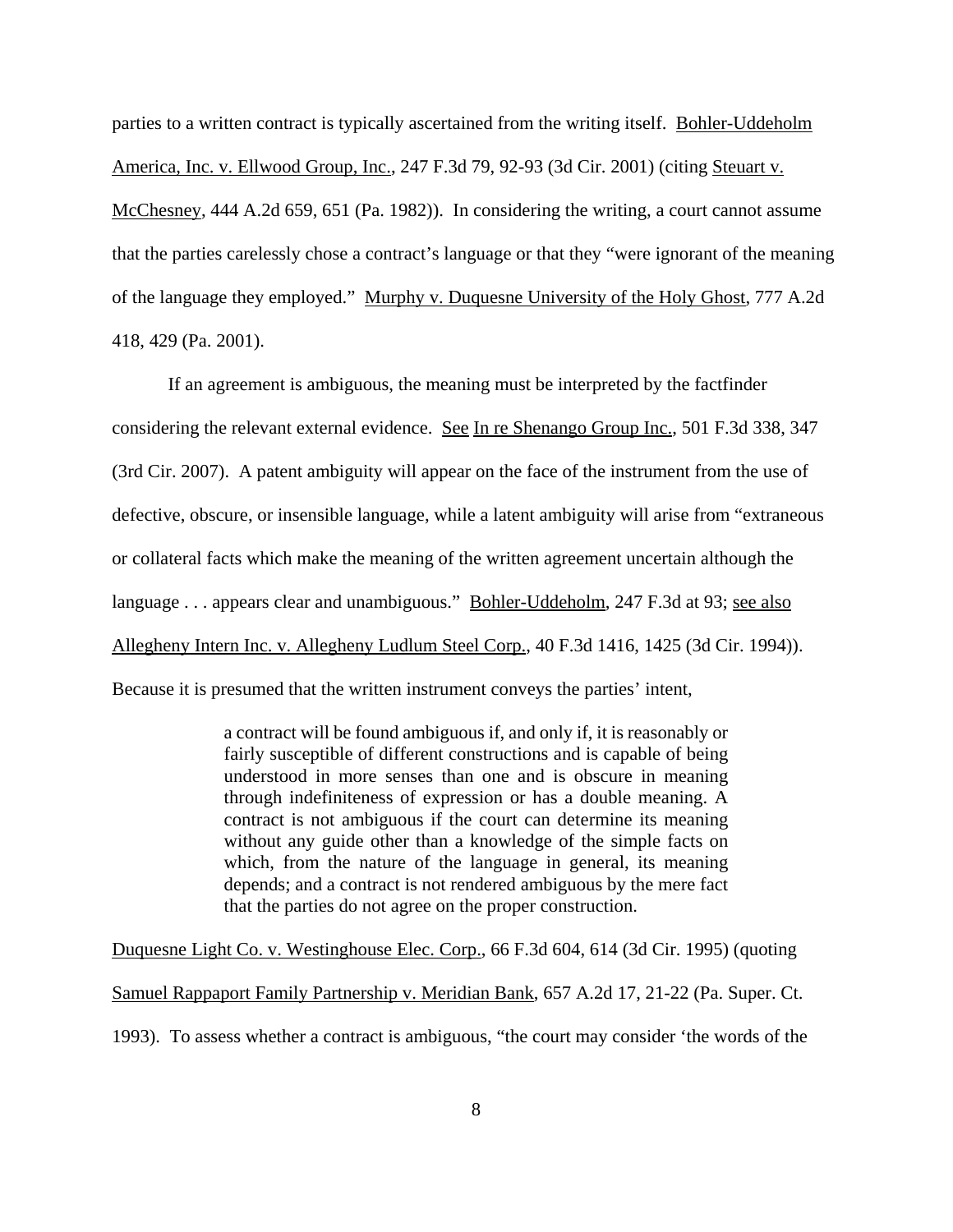parties to a written contract is typically ascertained from the writing itself. Bohler-Uddeholm America, Inc. v. Ellwood Group, Inc., 247 F.3d 79, 92-93 (3d Cir. 2001) (citing Steuart v. McChesney, 444 A.2d 659, 651 (Pa. 1982)). In considering the writing, a court cannot assume that the parties carelessly chose a contract's language or that they "were ignorant of the meaning of the language they employed." Murphy v. Duquesne University of the Holy Ghost, 777 A.2d 418, 429 (Pa. 2001).

If an agreement is ambiguous, the meaning must be interpreted by the factfinder considering the relevant external evidence. See In re Shenango Group Inc., 501 F.3d 338, 347 (3rd Cir. 2007). A patent ambiguity will appear on the face of the instrument from the use of defective, obscure, or insensible language, while a latent ambiguity will arise from "extraneous or collateral facts which make the meaning of the written agreement uncertain although the language . . . appears clear and unambiguous." Bohler-Uddeholm, 247 F.3d at 93; see also Allegheny Intern Inc. v. Allegheny Ludlum Steel Corp., 40 F.3d 1416, 1425 (3d Cir. 1994)). Because it is presumed that the written instrument conveys the parties' intent,

> a contract will be found ambiguous if, and only if, it is reasonably or fairly susceptible of different constructions and is capable of being understood in more senses than one and is obscure in meaning through indefiniteness of expression or has a double meaning. A contract is not ambiguous if the court can determine its meaning without any guide other than a knowledge of the simple facts on which, from the nature of the language in general, its meaning depends; and a contract is not rendered ambiguous by the mere fact that the parties do not agree on the proper construction.

Duquesne Light Co. v. Westinghouse Elec. Corp., 66 F.3d 604, 614 (3d Cir. 1995) (quoting Samuel Rappaport Family Partnership v. Meridian Bank, 657 A.2d 17, 21-22 (Pa. Super. Ct. 1993). To assess whether a contract is ambiguous, "the court may consider 'the words of the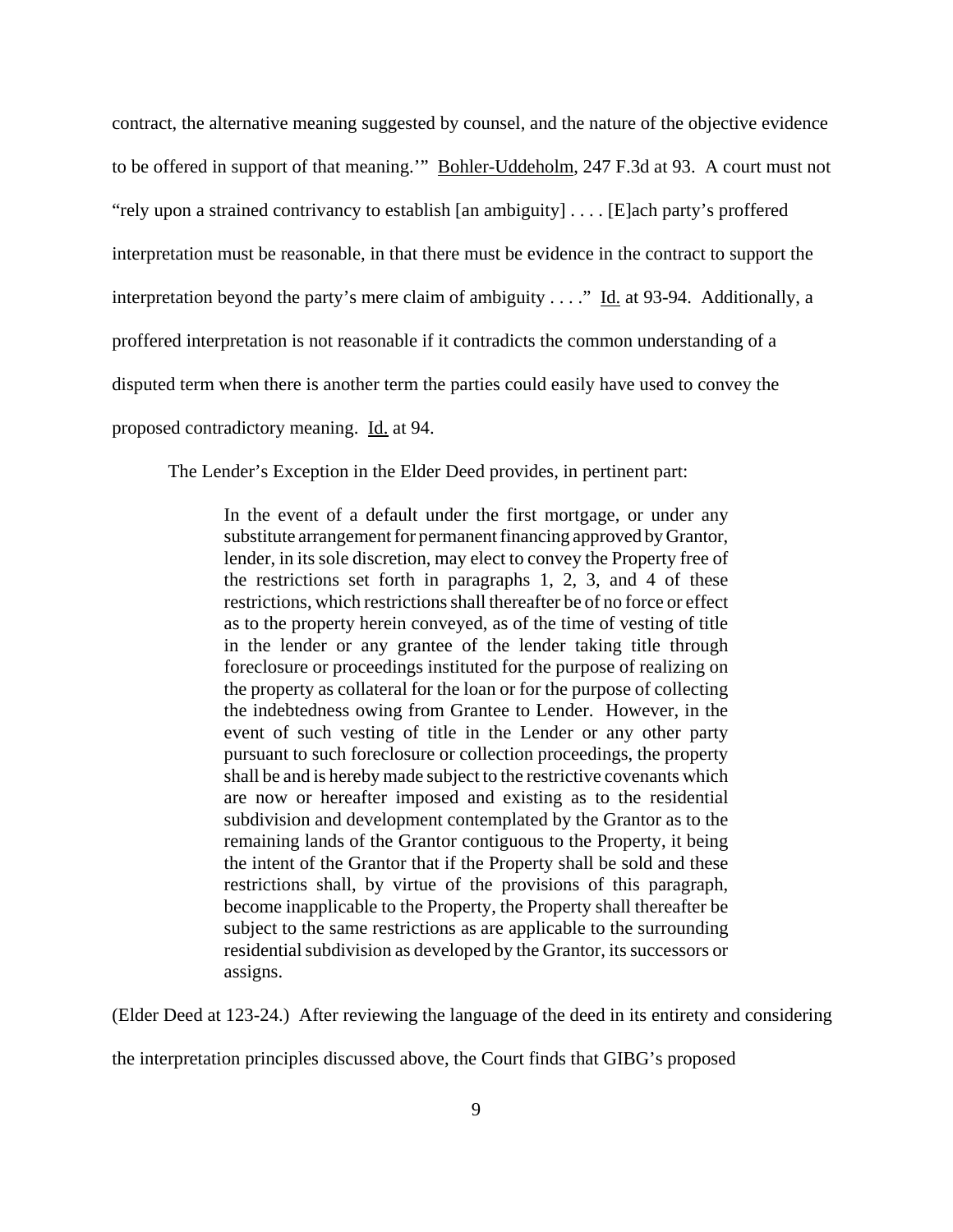contract, the alternative meaning suggested by counsel, and the nature of the objective evidence to be offered in support of that meaning.'" Bohler-Uddeholm, 247 F.3d at 93. A court must not "rely upon a strained contrivancy to establish [an ambiguity] . . . . [E]ach party's proffered interpretation must be reasonable, in that there must be evidence in the contract to support the interpretation beyond the party's mere claim of ambiguity  $\dots$ ." Id. at 93-94. Additionally, a proffered interpretation is not reasonable if it contradicts the common understanding of a disputed term when there is another term the parties could easily have used to convey the proposed contradictory meaning. Id. at 94.

The Lender's Exception in the Elder Deed provides, in pertinent part:

In the event of a default under the first mortgage, or under any substitute arrangement for permanent financing approved by Grantor, lender, in its sole discretion, may elect to convey the Property free of the restrictions set forth in paragraphs 1, 2, 3, and 4 of these restrictions, which restrictions shall thereafter be of no force or effect as to the property herein conveyed, as of the time of vesting of title in the lender or any grantee of the lender taking title through foreclosure or proceedings instituted for the purpose of realizing on the property as collateral for the loan or for the purpose of collecting the indebtedness owing from Grantee to Lender. However, in the event of such vesting of title in the Lender or any other party pursuant to such foreclosure or collection proceedings, the property shall be and is hereby made subject to the restrictive covenants which are now or hereafter imposed and existing as to the residential subdivision and development contemplated by the Grantor as to the remaining lands of the Grantor contiguous to the Property, it being the intent of the Grantor that if the Property shall be sold and these restrictions shall, by virtue of the provisions of this paragraph, become inapplicable to the Property, the Property shall thereafter be subject to the same restrictions as are applicable to the surrounding residential subdivision as developed by the Grantor, its successors or assigns.

(Elder Deed at 123-24.) After reviewing the language of the deed in its entirety and considering

the interpretation principles discussed above, the Court finds that GIBG's proposed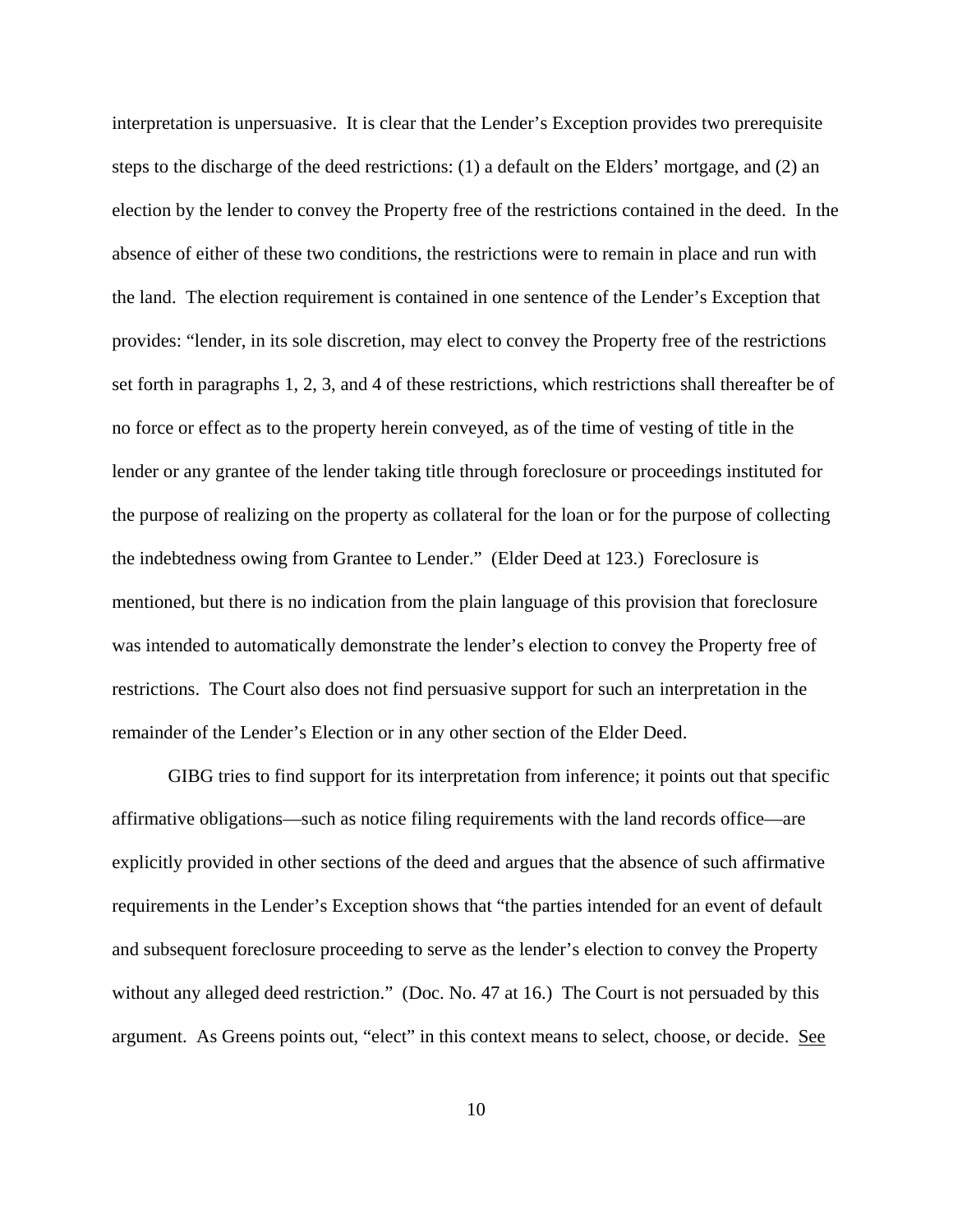interpretation is unpersuasive. It is clear that the Lender's Exception provides two prerequisite steps to the discharge of the deed restrictions: (1) a default on the Elders' mortgage, and (2) an election by the lender to convey the Property free of the restrictions contained in the deed. In the absence of either of these two conditions, the restrictions were to remain in place and run with the land. The election requirement is contained in one sentence of the Lender's Exception that provides: "lender, in its sole discretion, may elect to convey the Property free of the restrictions set forth in paragraphs 1, 2, 3, and 4 of these restrictions, which restrictions shall thereafter be of no force or effect as to the property herein conveyed, as of the time of vesting of title in the lender or any grantee of the lender taking title through foreclosure or proceedings instituted for the purpose of realizing on the property as collateral for the loan or for the purpose of collecting the indebtedness owing from Grantee to Lender." (Elder Deed at 123.) Foreclosure is mentioned, but there is no indication from the plain language of this provision that foreclosure was intended to automatically demonstrate the lender's election to convey the Property free of restrictions. The Court also does not find persuasive support for such an interpretation in the remainder of the Lender's Election or in any other section of the Elder Deed.

GIBG tries to find support for its interpretation from inference; it points out that specific affirmative obligations—such as notice filing requirements with the land records office—are explicitly provided in other sections of the deed and argues that the absence of such affirmative requirements in the Lender's Exception shows that "the parties intended for an event of default and subsequent foreclosure proceeding to serve as the lender's election to convey the Property without any alleged deed restriction." (Doc. No. 47 at 16.) The Court is not persuaded by this argument. As Greens points out, "elect" in this context means to select, choose, or decide. See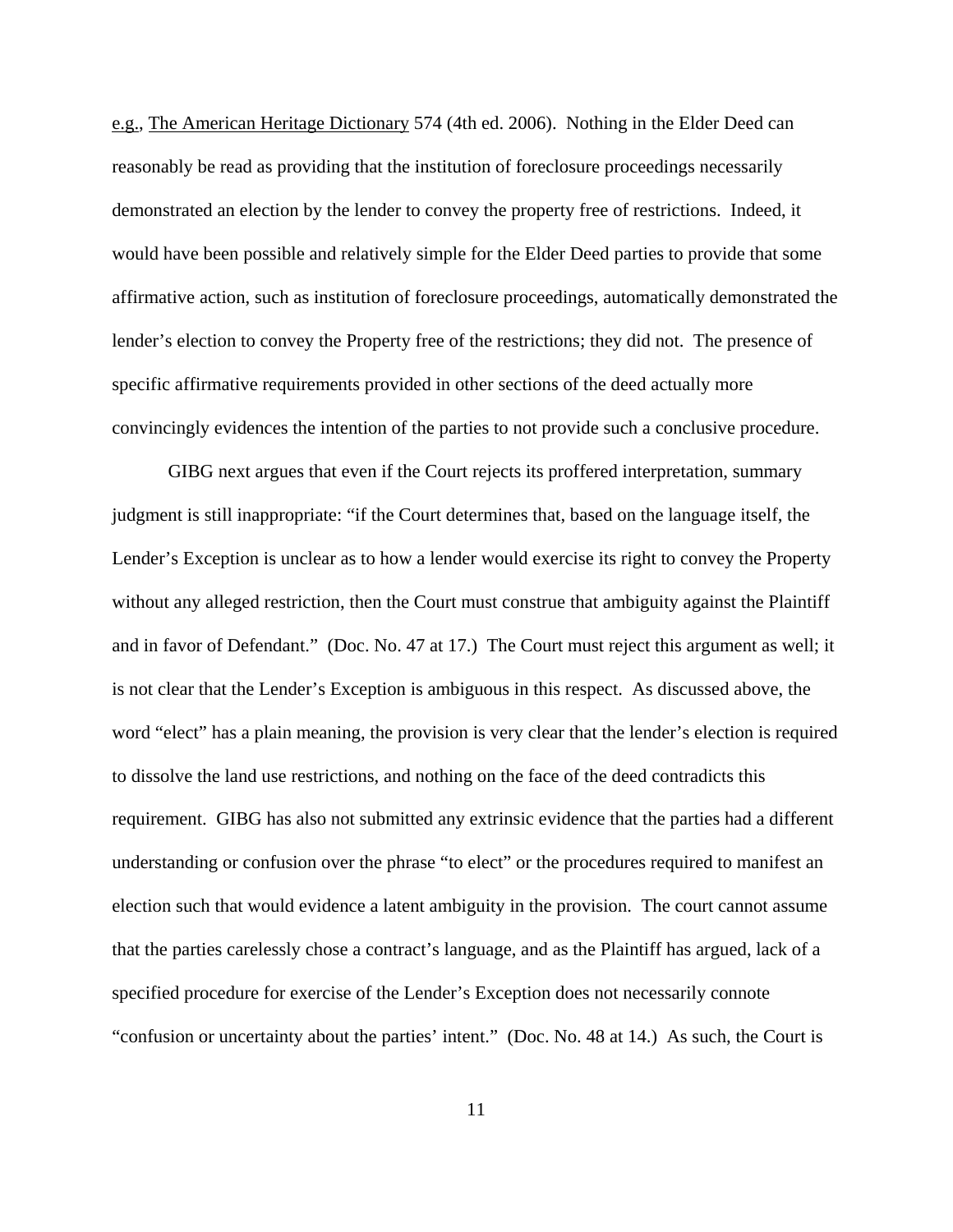e.g., The American Heritage Dictionary 574 (4th ed. 2006). Nothing in the Elder Deed can reasonably be read as providing that the institution of foreclosure proceedings necessarily demonstrated an election by the lender to convey the property free of restrictions. Indeed, it would have been possible and relatively simple for the Elder Deed parties to provide that some affirmative action, such as institution of foreclosure proceedings, automatically demonstrated the lender's election to convey the Property free of the restrictions; they did not. The presence of specific affirmative requirements provided in other sections of the deed actually more convincingly evidences the intention of the parties to not provide such a conclusive procedure.

GIBG next argues that even if the Court rejects its proffered interpretation, summary judgment is still inappropriate: "if the Court determines that, based on the language itself, the Lender's Exception is unclear as to how a lender would exercise its right to convey the Property without any alleged restriction, then the Court must construe that ambiguity against the Plaintiff and in favor of Defendant." (Doc. No. 47 at 17.) The Court must reject this argument as well; it is not clear that the Lender's Exception is ambiguous in this respect. As discussed above, the word "elect" has a plain meaning, the provision is very clear that the lender's election is required to dissolve the land use restrictions, and nothing on the face of the deed contradicts this requirement. GIBG has also not submitted any extrinsic evidence that the parties had a different understanding or confusion over the phrase "to elect" or the procedures required to manifest an election such that would evidence a latent ambiguity in the provision. The court cannot assume that the parties carelessly chose a contract's language, and as the Plaintiff has argued, lack of a specified procedure for exercise of the Lender's Exception does not necessarily connote "confusion or uncertainty about the parties' intent." (Doc. No. 48 at 14.) As such, the Court is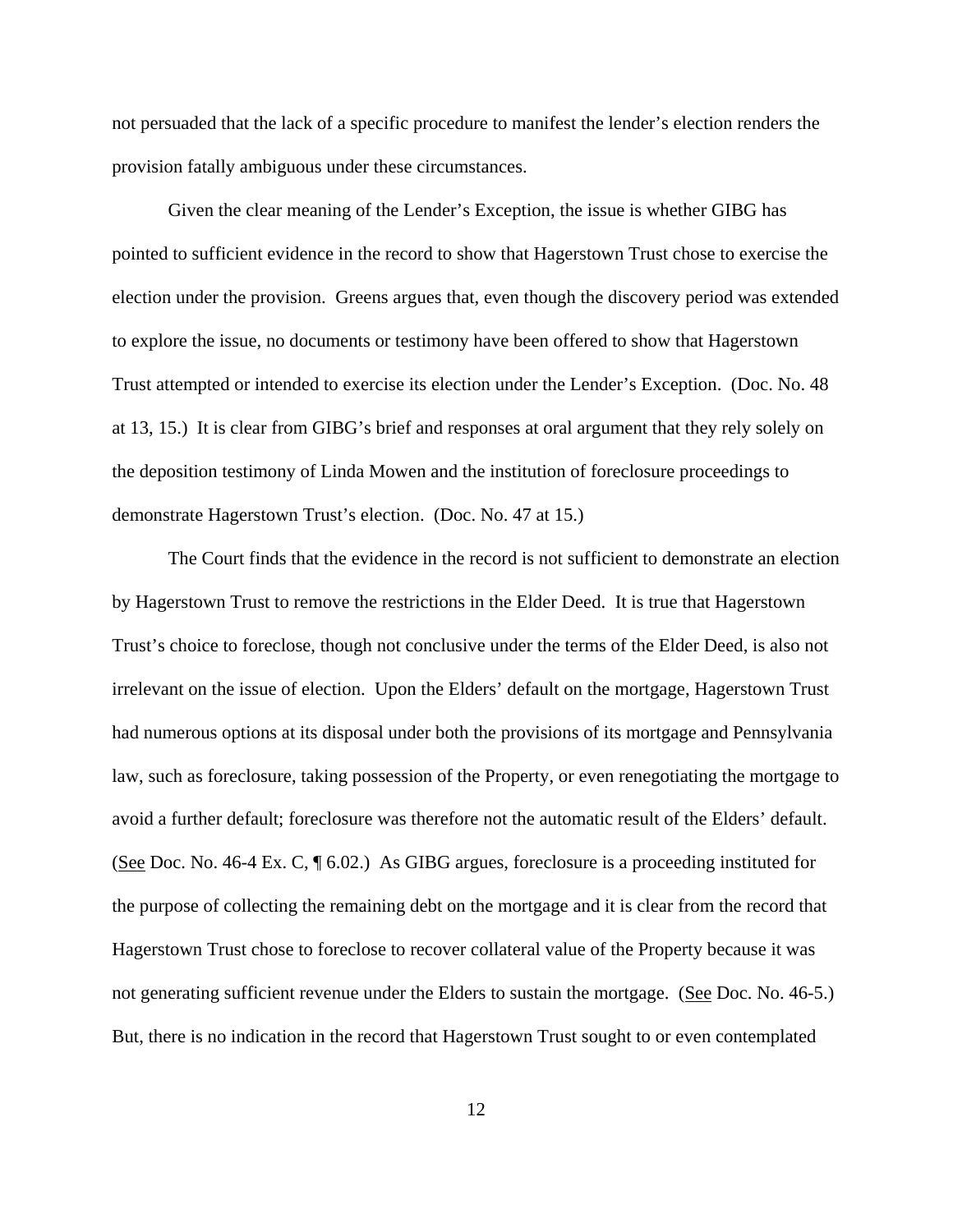not persuaded that the lack of a specific procedure to manifest the lender's election renders the provision fatally ambiguous under these circumstances.

Given the clear meaning of the Lender's Exception, the issue is whether GIBG has pointed to sufficient evidence in the record to show that Hagerstown Trust chose to exercise the election under the provision. Greens argues that, even though the discovery period was extended to explore the issue, no documents or testimony have been offered to show that Hagerstown Trust attempted or intended to exercise its election under the Lender's Exception. (Doc. No. 48 at 13, 15.) It is clear from GIBG's brief and responses at oral argument that they rely solely on the deposition testimony of Linda Mowen and the institution of foreclosure proceedings to demonstrate Hagerstown Trust's election. (Doc. No. 47 at 15.)

The Court finds that the evidence in the record is not sufficient to demonstrate an election by Hagerstown Trust to remove the restrictions in the Elder Deed. It is true that Hagerstown Trust's choice to foreclose, though not conclusive under the terms of the Elder Deed, is also not irrelevant on the issue of election. Upon the Elders' default on the mortgage, Hagerstown Trust had numerous options at its disposal under both the provisions of its mortgage and Pennsylvania law, such as foreclosure, taking possession of the Property, or even renegotiating the mortgage to avoid a further default; foreclosure was therefore not the automatic result of the Elders' default. (See Doc. No. 46-4 Ex. C, ¶ 6.02.) As GIBG argues, foreclosure is a proceeding instituted for the purpose of collecting the remaining debt on the mortgage and it is clear from the record that Hagerstown Trust chose to foreclose to recover collateral value of the Property because it was not generating sufficient revenue under the Elders to sustain the mortgage. (See Doc. No. 46-5.) But, there is no indication in the record that Hagerstown Trust sought to or even contemplated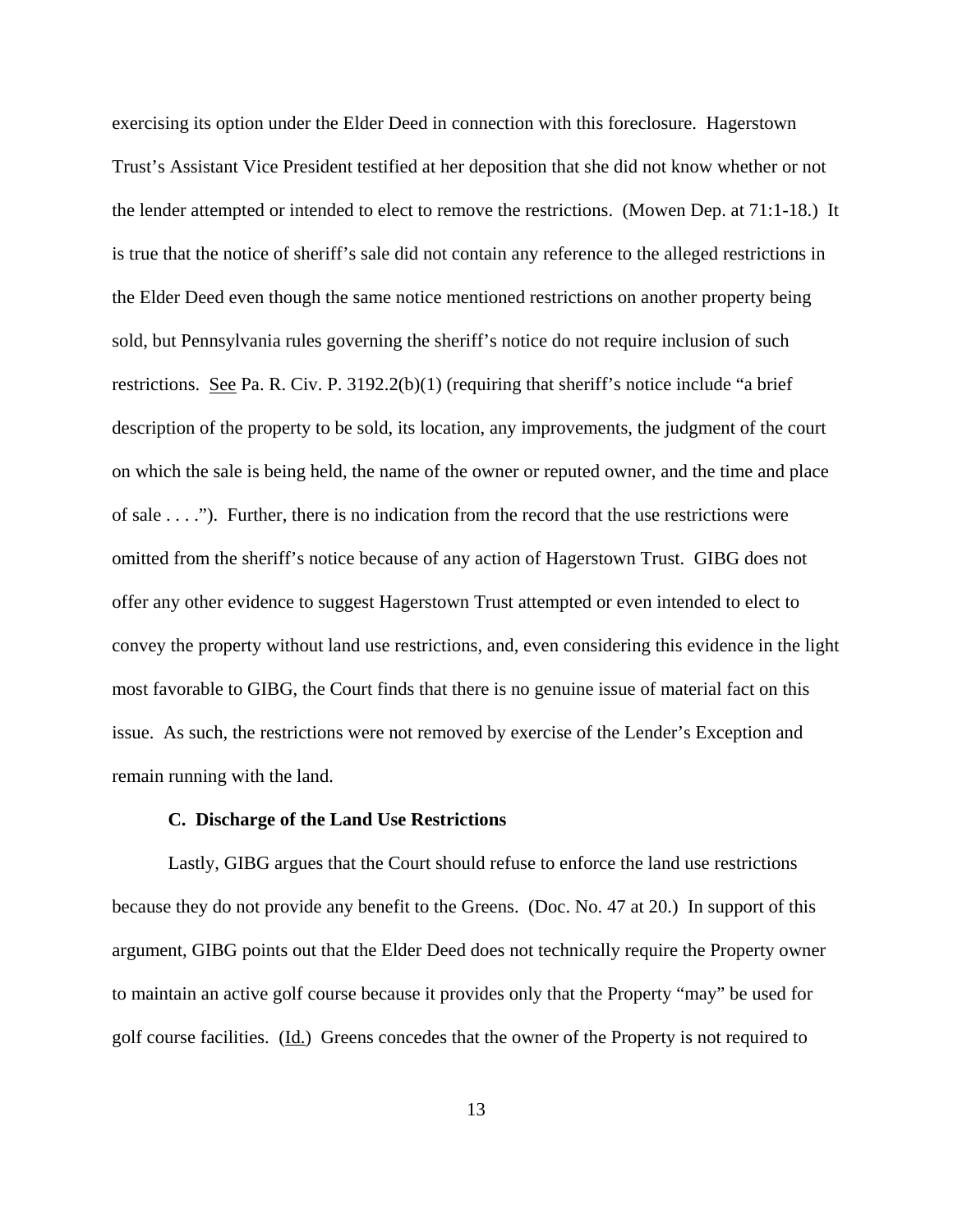exercising its option under the Elder Deed in connection with this foreclosure. Hagerstown Trust's Assistant Vice President testified at her deposition that she did not know whether or not the lender attempted or intended to elect to remove the restrictions. (Mowen Dep. at 71:1-18.) It is true that the notice of sheriff's sale did not contain any reference to the alleged restrictions in the Elder Deed even though the same notice mentioned restrictions on another property being sold, but Pennsylvania rules governing the sheriff's notice do not require inclusion of such restrictions. See Pa. R. Civ. P. 3192.2(b)(1) (requiring that sheriff's notice include "a brief description of the property to be sold, its location, any improvements, the judgment of the court on which the sale is being held, the name of the owner or reputed owner, and the time and place of sale . . . ."). Further, there is no indication from the record that the use restrictions were omitted from the sheriff's notice because of any action of Hagerstown Trust. GIBG does not offer any other evidence to suggest Hagerstown Trust attempted or even intended to elect to convey the property without land use restrictions, and, even considering this evidence in the light most favorable to GIBG, the Court finds that there is no genuine issue of material fact on this issue. As such, the restrictions were not removed by exercise of the Lender's Exception and remain running with the land.

## **C. Discharge of the Land Use Restrictions**

Lastly, GIBG argues that the Court should refuse to enforce the land use restrictions because they do not provide any benefit to the Greens. (Doc. No. 47 at 20.) In support of this argument, GIBG points out that the Elder Deed does not technically require the Property owner to maintain an active golf course because it provides only that the Property "may" be used for golf course facilities. (Id.) Greens concedes that the owner of the Property is not required to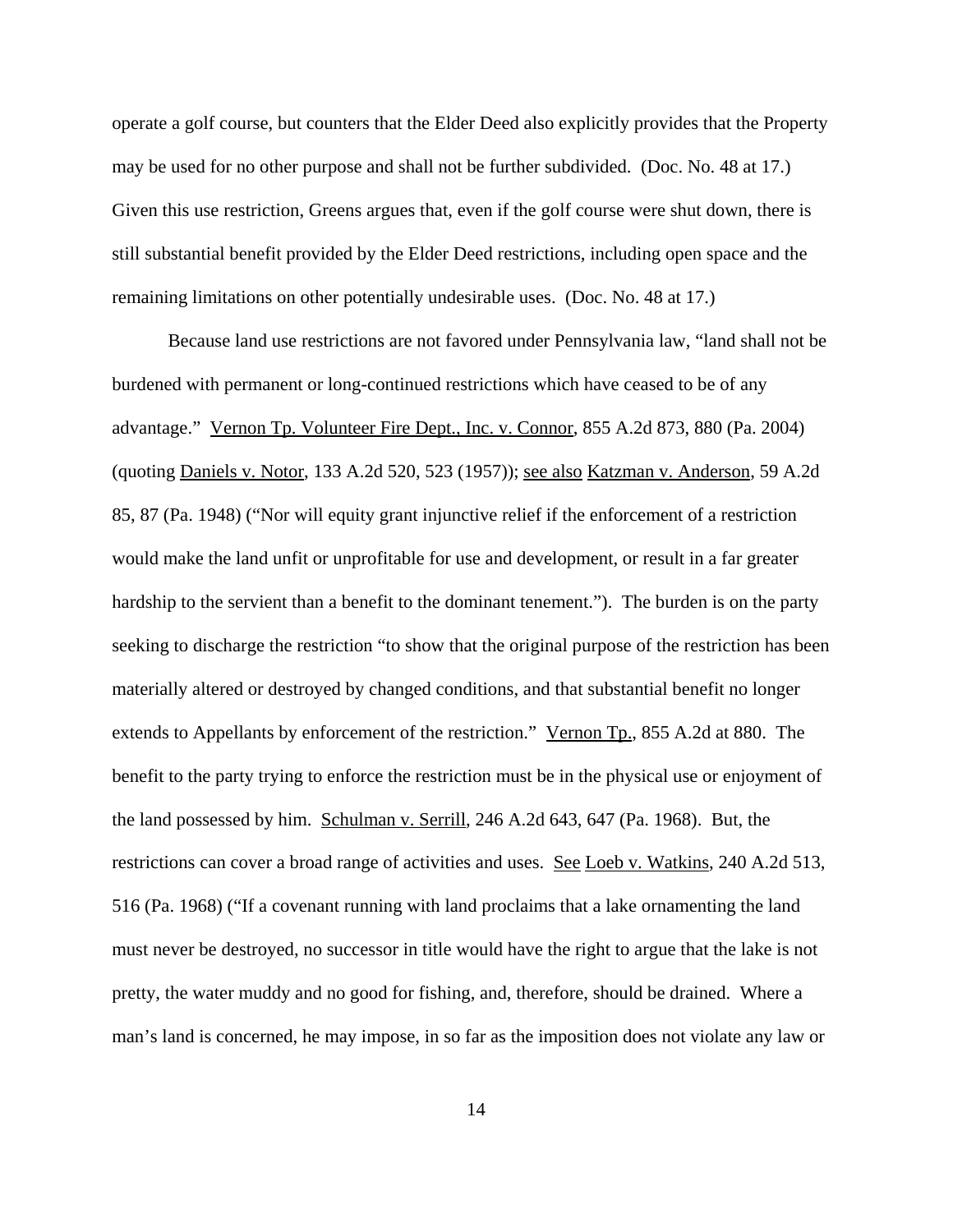operate a golf course, but counters that the Elder Deed also explicitly provides that the Property may be used for no other purpose and shall not be further subdivided. (Doc. No. 48 at 17.) Given this use restriction, Greens argues that, even if the golf course were shut down, there is still substantial benefit provided by the Elder Deed restrictions, including open space and the remaining limitations on other potentially undesirable uses. (Doc. No. 48 at 17.)

Because land use restrictions are not favored under Pennsylvania law, "land shall not be burdened with permanent or long-continued restrictions which have ceased to be of any advantage." Vernon Tp. Volunteer Fire Dept., Inc. v. Connor, 855 A.2d 873, 880 (Pa. 2004) (quoting Daniels v. Notor, 133 A.2d 520, 523 (1957)); see also Katzman v. Anderson, 59 A.2d 85, 87 (Pa. 1948) ("Nor will equity grant injunctive relief if the enforcement of a restriction would make the land unfit or unprofitable for use and development, or result in a far greater hardship to the servient than a benefit to the dominant tenement."). The burden is on the party seeking to discharge the restriction "to show that the original purpose of the restriction has been materially altered or destroyed by changed conditions, and that substantial benefit no longer extends to Appellants by enforcement of the restriction." Vernon Tp., 855 A.2d at 880. The benefit to the party trying to enforce the restriction must be in the physical use or enjoyment of the land possessed by him. Schulman v. Serrill, 246 A.2d 643, 647 (Pa. 1968). But, the restrictions can cover a broad range of activities and uses. See Loeb v. Watkins, 240 A.2d 513, 516 (Pa. 1968) ("If a covenant running with land proclaims that a lake ornamenting the land must never be destroyed, no successor in title would have the right to argue that the lake is not pretty, the water muddy and no good for fishing, and, therefore, should be drained. Where a man's land is concerned, he may impose, in so far as the imposition does not violate any law or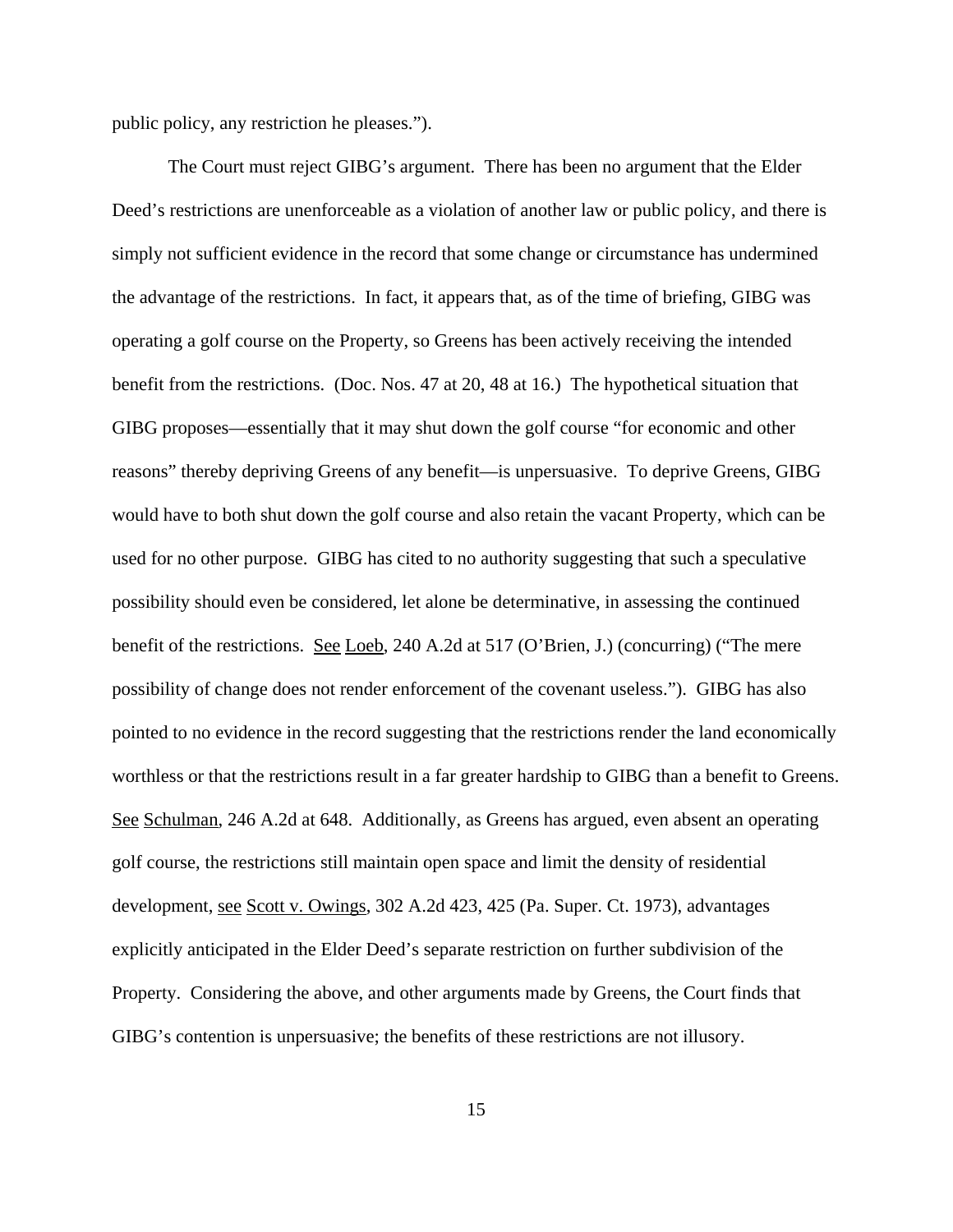public policy, any restriction he pleases.").

The Court must reject GIBG's argument. There has been no argument that the Elder Deed's restrictions are unenforceable as a violation of another law or public policy, and there is simply not sufficient evidence in the record that some change or circumstance has undermined the advantage of the restrictions. In fact, it appears that, as of the time of briefing, GIBG was operating a golf course on the Property, so Greens has been actively receiving the intended benefit from the restrictions. (Doc. Nos. 47 at 20, 48 at 16.) The hypothetical situation that GIBG proposes—essentially that it may shut down the golf course "for economic and other reasons" thereby depriving Greens of any benefit—is unpersuasive. To deprive Greens, GIBG would have to both shut down the golf course and also retain the vacant Property, which can be used for no other purpose. GIBG has cited to no authority suggesting that such a speculative possibility should even be considered, let alone be determinative, in assessing the continued benefit of the restrictions. See Loeb, 240 A.2d at 517 (O'Brien, J.) (concurring) ("The mere possibility of change does not render enforcement of the covenant useless."). GIBG has also pointed to no evidence in the record suggesting that the restrictions render the land economically worthless or that the restrictions result in a far greater hardship to GIBG than a benefit to Greens. See Schulman, 246 A.2d at 648. Additionally, as Greens has argued, even absent an operating golf course, the restrictions still maintain open space and limit the density of residential development, <u>see Scott v. Owings</u>, 302 A.2d 423, 425 (Pa. Super. Ct. 1973), advantages explicitly anticipated in the Elder Deed's separate restriction on further subdivision of the Property. Considering the above, and other arguments made by Greens, the Court finds that GIBG's contention is unpersuasive; the benefits of these restrictions are not illusory.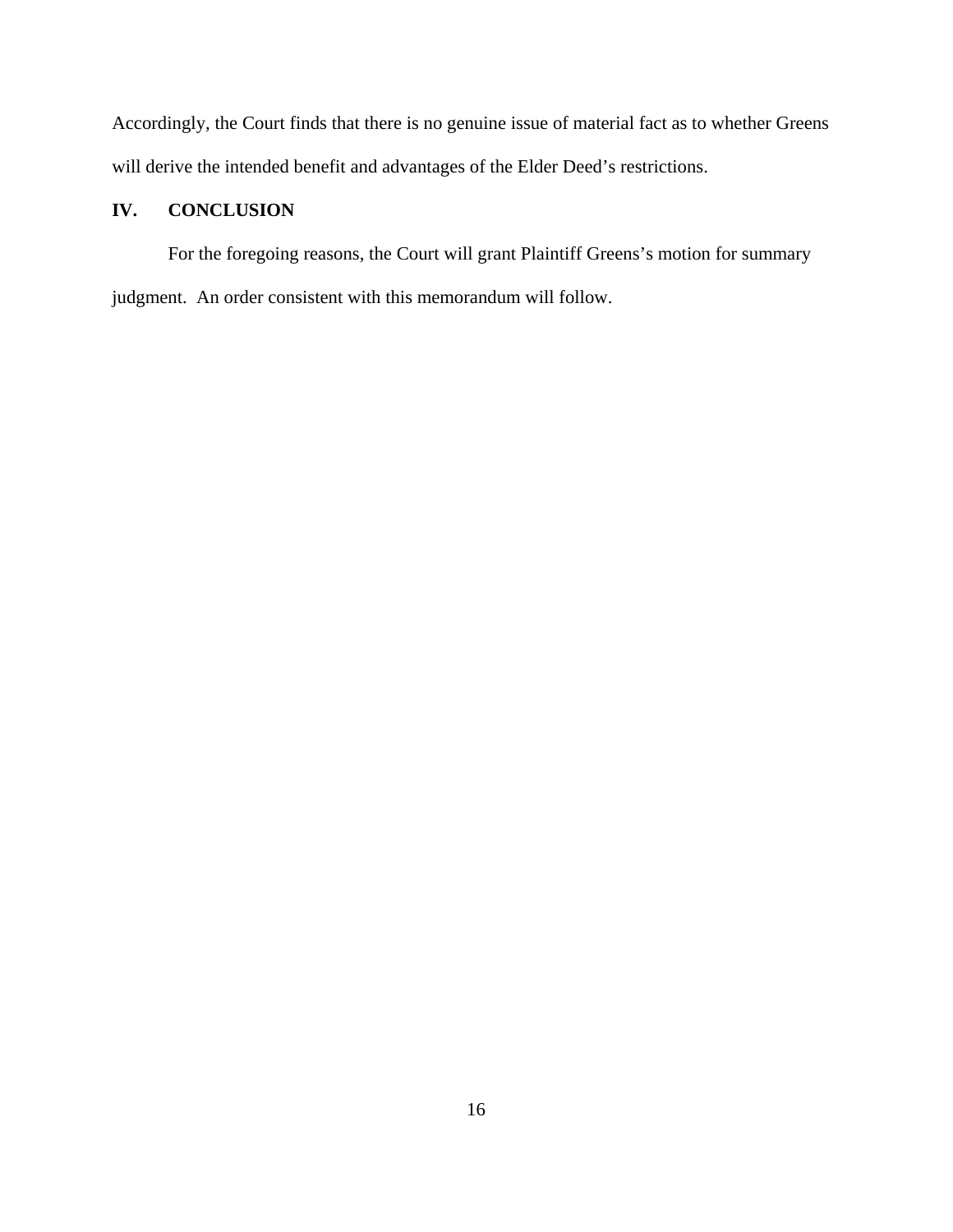Accordingly, the Court finds that there is no genuine issue of material fact as to whether Greens will derive the intended benefit and advantages of the Elder Deed's restrictions.

# **IV. CONCLUSION**

For the foregoing reasons, the Court will grant Plaintiff Greens's motion for summary judgment. An order consistent with this memorandum will follow.